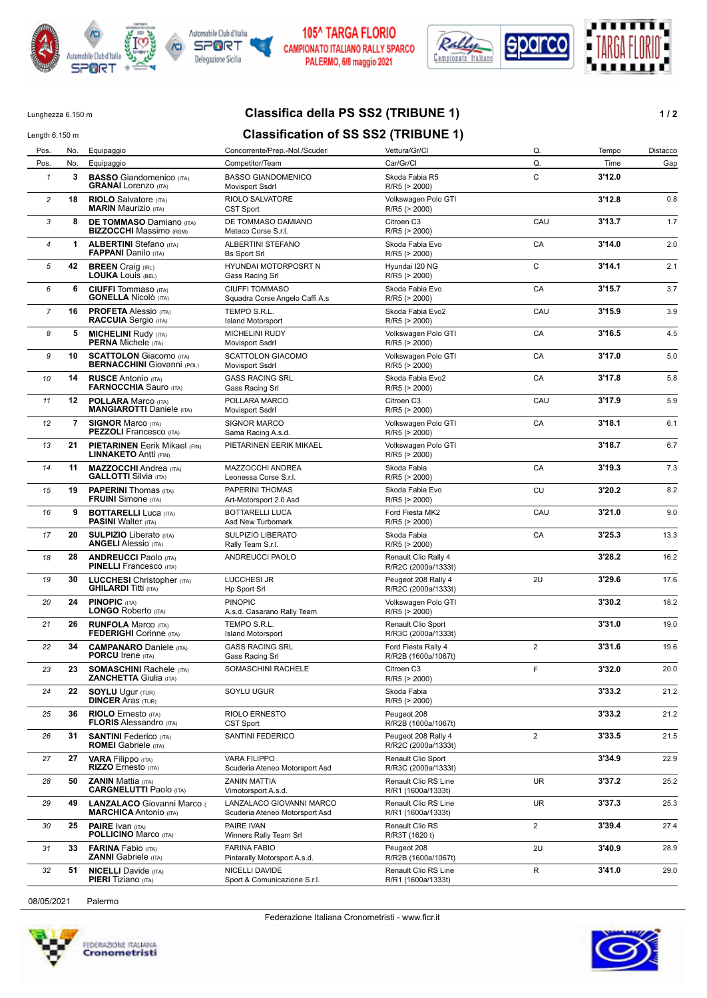



#### 105^ TARGA FLORIO CAMPIONATO ITALIANO RALLY SPARCO PALERMO, 6/8 maggio 2021



## Lunghezza 6.150 m **Classifica della PS SS2 (TRIBUNE 1) 1/2**

# Length 6.150 m<br>**Classification of SS SS2 (TRIBUNE 1)**

| Pos.           | No.            | Equipaggio                                                           | Concorrente/Prep.-Nol./Scuder                              | Vettura/Gr/Cl                                    | Q.             | Tempo  | Distacco |
|----------------|----------------|----------------------------------------------------------------------|------------------------------------------------------------|--------------------------------------------------|----------------|--------|----------|
| Pos.           | No.            | Equipaggio                                                           | Competitor/Team                                            | Car/Gr/Cl                                        | Q.             | Time   | Gap      |
| $\mathbf{1}$   | 3              | <b>BASSO</b> Giandomenico (ITA)<br><b>GRANAI</b> Lorenzo (ITA)       | <b>BASSO GIANDOMENICO</b><br>Movisport Ssdrl               | Skoda Fabia R5<br>R/R5 (> 2000)                  | C              | 3'12.0 |          |
| $\overline{c}$ | 18             | <b>RIOLO</b> Salvatore (ITA)<br><b>MARIN</b> Maurizio (ITA)          | RIOLO SALVATORE<br><b>CST Sport</b>                        | Volkswagen Polo GTI<br>R/R5 (> 2000)             |                | 3'12.8 | 0.8      |
| 3              | 8              | <b>DE TOMMASO Damiano (ITA)</b><br><b>BIZZOCCHI</b> Massimo (RSM)    | DE TOMMASO DAMIANO<br>Meteco Corse S.r.l.                  | Citroen C3<br>R/R5 (> 2000)                      | CAU            | 3'13.7 | 1.7      |
| 4              | $\mathbf 1$    | <b>ALBERTINI</b> Stefano (ITA)<br><b>FAPPANI</b> Danilo (ITA)        | ALBERTINI STEFANO<br><b>Bs Sport Srl</b>                   | Skoda Fabia Evo<br>R/R5 (> 2000)                 | CA             | 3'14.0 | 2.0      |
| 5              | 42             | <b>BREEN</b> Craig (IRL)<br><b>LOUKA Louis (BEL)</b>                 | HYUNDAI MOTORPOSRT N<br>Gass Racing Srl                    | Hyundai I20 NG<br>R/R5 (> 2000)                  | C              | 3'14.1 | 2.1      |
| 6              | 6              | <b>CIUFFI</b> Tommaso (ITA)<br><b>GONELLA Nicolò</b> (ITA)           | <b>CIUFFI TOMMASO</b><br>Squadra Corse Angelo Caffi A.s    | Skoda Fabia Evo<br>R/R5 (> 2000)                 | CA             | 3'15.7 | 3.7      |
| $\overline{7}$ | 16             | <b>PROFETA Alessio (ITA)</b><br><b>RACCUIA</b> Sergio (ITA)          | TEMPO S.R.L.<br><b>Island Motorsport</b>                   | Skoda Fabia Evo2<br>R/R5 (> 2000)                | CAU            | 3'15.9 | 3.9      |
| 8              | 5              | <b>MICHELINI Rudy (ITA)</b><br><b>PERNA</b> Michele (ITA)            | <b>MICHELINI RUDY</b><br><b>Movisport Ssdrl</b>            | Volkswagen Polo GTI<br>R/R5 (> 2000)             | CA             | 3'16.5 | 4.5      |
| 9              | 10             | <b>SCATTOLON</b> Giacomo (ITA)<br><b>BERNACCHINI</b> Giovanni (POL)  | <b>SCATTOLON GIACOMO</b><br>Movisport Ssdrl                | Volkswagen Polo GTI<br>R/R5 (> 2000)             | CA             | 3'17.0 | 5.0      |
| 10             | 14             | <b>RUSCE Antonio (ITA)</b><br><b>FARNOCCHIA Sauro (ITA)</b>          | <b>GASS RACING SRL</b><br>Gass Racing Srl                  | Skoda Fabia Evo2<br>R/R5 (> 2000)                | CA             | 3'17.8 | 5.8      |
| 11             | 12             | <b>POLLARA</b> Marco (ITA)<br><b>MANGIAROTTI Daniele (ITA)</b>       | POLLARA MARCO<br><b>Movisport Ssdrl</b>                    | Citroen C3<br>R/R5 (> 2000)                      | CAU            | 3'17.9 | 5.9      |
| 12             | $\overline{7}$ | <b>SIGNOR Marco (ITA)</b><br><b>PEZZOLI</b> Francesco (ITA)          | SIGNOR MARCO<br>Sama Racing A.s.d.                         | Volkswagen Polo GTI<br>R/R5 (> 2000)             | CA             | 3'18.1 | 6.1      |
| 13             | 21             | <b>PIETARINEN</b> Eerik Mikael (FIN)<br><b>LINNAKETO Antti (FIN)</b> | PIETARINEN EERIK MIKAEL                                    | Volkswagen Polo GTI<br>R/R5 (> 2000)             |                | 3'18.7 | 6.7      |
| 14             | 11             | <b>MAZZOCCHI</b> Andrea (ITA)<br><b>GALLOTTI</b> Silvia (ITA)        | MAZZOCCHI ANDREA<br>Leonessa Corse S.r.l.                  | Skoda Fabia<br>R/R5 (> 2000)                     | CA             | 3'19.3 | 7.3      |
| 15             | 19             | <b>PAPERINI</b> Thomas (ITA)<br><b>FRUINI</b> Simone (ITA)           | PAPERINI THOMAS<br>Art-Motorsport 2.0 Asd                  | Skoda Fabia Evo<br>R/R5 (> 2000)                 | CU             | 3'20.2 | 8.2      |
| 16             | 9              | <b>BOTTARELLI Luca (ITA)</b><br><b>PASINI</b> Walter (ITA)           | <b>BOTTARELLI LUCA</b><br>Asd New Turbomark                | Ford Fiesta MK2<br>R/R5 (> 2000)                 | CAU            | 3'21.0 | 9.0      |
| 17             | 20             | <b>SULPIZIO</b> Liberato (ITA)<br><b>ANGELI Alessio (ITA)</b>        | SULPIZIO LIBERATO<br>Rally Team S.r.l.                     | Skoda Fabia<br>R/R5 (> 2000)                     | CA             | 3'25.3 | 13.3     |
| 18             | 28             | <b>ANDREUCCI Paolo (ITA)</b><br><b>PINELLI</b> Francesco (ITA)       | ANDREUCCI PAOLO                                            | Renault Clio Rally 4<br>R/R2C (2000a/1333t)      |                | 3'28.2 | 16.2     |
| 19             | 30             | <b>LUCCHESI</b> Christopher (ITA)<br><b>GHILARDI</b> Titti (ITA)     | LUCCHESI JR<br><b>Hp Sport Srl</b>                         | Peugeot 208 Rally 4<br>R/R2C (2000a/1333t)       | 2U             | 3'29.6 | 17.6     |
| 20             | 24             | <b>PINOPIC (ITA)</b><br><b>LONGO Roberto (ITA)</b>                   | <b>PINOPIC</b><br>A.s.d. Casarano Rally Team               | Volkswagen Polo GTI<br>R/R5 (> 2000)             |                | 3'30.2 | 18.2     |
| 21             | 26             | <b>RUNFOLA Marco (ITA)</b><br><b>FEDERIGHI</b> Corinne (ITA)         | TEMPO S.R.L.<br><b>Island Motorsport</b>                   | Renault Clio Sport<br>R/R3C (2000a/1333t)        |                | 3'31.0 | 19.0     |
| 22             | 34             | <b>CAMPANARO</b> Daniele (ITA)<br><b>PORCU</b> Irene (ITA)           | <b>GASS RACING SRL</b><br>Gass Racing Srl                  | Ford Fiesta Rally 4<br>R/R2B (1600a/1067t)       | $\overline{2}$ | 3'31.6 | 19.6     |
| 23             | 23             | <b>SOMASCHINI Rachele (ITA)</b><br><b>ZANCHETTA Giulia (ITA)</b>     | SOMASCHINI RACHELE                                         | Citroen C3<br>R/R5 (> 2000)                      | F              | 3'32.0 | 20.0     |
| 24             | 22             | <b>SOYLU Ugur (TUR)</b><br><b>DINCER Aras (TUR)</b>                  | SOYLU UGUR                                                 | Skoda Fabia<br>R/R5 (> 2000)                     |                | 3'33.2 | 21.2     |
| 25             | 36             | <b>RIOLO</b> Ernesto (ITA)<br><b>FLORIS Alessandro (ITA)</b>         | <b>RIOLO ERNESTO</b><br>CST Sport                          | Peugeot 208<br>R/R2B (1600a/1067t)               |                | 3'33.2 | 21.2     |
| 26             | 31             | <b>SANTINI</b> Federico (ITA)<br><b>ROMEI</b> Gabriele (ITA)         | SANTINI FEDERICO                                           | Peugeot 208 Rally 4<br>R/R2C (2000a/1333t)       | $\overline{c}$ | 3'33.5 | 21.5     |
| 27             | 27             | <b>VARA Filippo</b> (ITA)<br>RIZZO Ernesto (ITA)                     | <b>VARA FILIPPO</b><br>Scuderia Ateneo Motorsport Asd      | <b>Renault Clio Sport</b><br>R/R3C (2000a/1333t) |                | 3'34.9 | 22.9     |
| 28             | 50             | <b>ZANIN Mattia (ITA)</b><br><b>CARGNELUTTI Paolo (ITA)</b>          | ZANIN MATTIA<br>Vimotorsport A.s.d.                        | Renault Clio RS Line<br>R/R1 (1600a/1333t)       | <b>UR</b>      | 3'37.2 | 25.2     |
| 29             | 49             | LANZALACO Giovanni Marco<br><b>MARCHICA</b> Antonio (ITA)            | LANZALACO GIOVANNI MARCO<br>Scuderia Ateneo Motorsport Asd | Renault Clio RS Line<br>R/R1 (1600a/1333t)       | UR.            | 3'37.3 | 25.3     |
| 30             | 25             | <b>PAIRE</b> Ivan (ITA)<br><b>POLLICINO Marco (ITA)</b>              | PAIRE IVAN<br>Winners Rally Team Srl                       | Renault Clio RS<br>R/R3T (1620 t)                | $\overline{c}$ | 3'39.4 | 27.4     |
| 31             | 33             | <b>FARINA</b> Fabio (ITA)<br><b>ZANNI</b> Gabriele (ITA)             | <b>FARINA FABIO</b><br>Pintarally Motorsport A.s.d.        | Peugeot 208<br>R/R2B (1600a/1067t)               | 2U             | 3'40.9 | 28.9     |
| 32             | 51             | <b>NICELLI</b> Davide (ITA)<br><b>PIERI</b> Tiziano (ITA)            | NICELLI DAVIDE<br>Sport & Comunicazione S.r.l.             | Renault Clio RS Line<br>R/R1 (1600a/1333t)       | R              | 3'41.0 | 29.0     |
|                |                |                                                                      |                                                            |                                                  |                |        |          |

Federazione Italiana Cronometristi - www.ficr.it

08/05/2021 Palermo